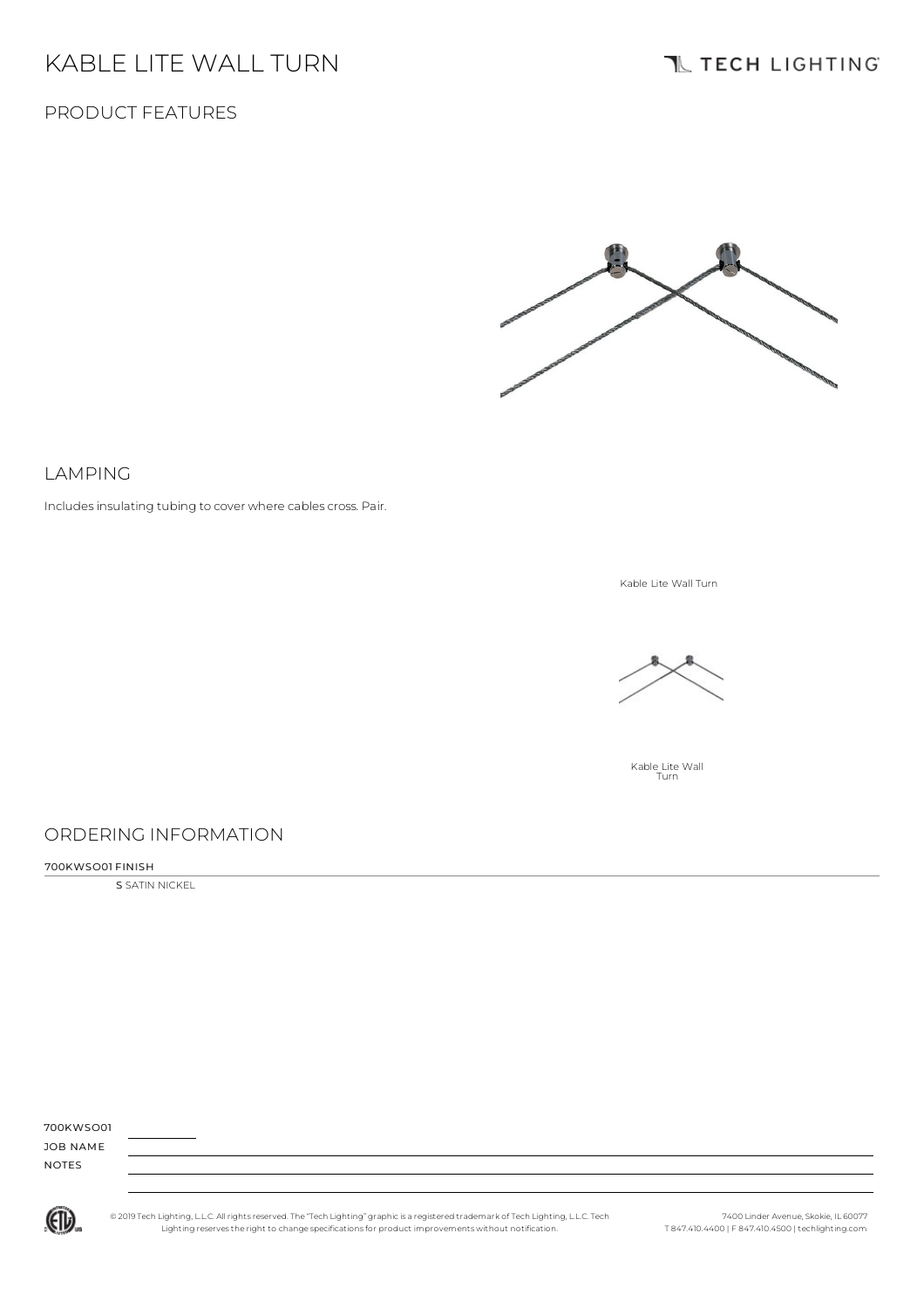# KABLE LITE WALL TURN

## **IL TECH LIGHTING**

## PRODUCT FEATURES



### LAMPING

Includes insulating tubing to cover where cables cross. Pair.

Kable Lite Wall Turn



Kable Lite Wall Turn

## ORDERING INFORMATION

#### 700KWSO01 FINISH

S SATIN NICKEL

| 700KWSO01    |  |
|--------------|--|
| JOB NAME     |  |
| <b>NOTES</b> |  |
|              |  |



© 2019 Tech Lighting, L.L.C. All rightsreserved. The "Tech Lighting" graphicis a registered trademark of Tech Lighting, L.L.C. Tech Lighting reservesthe right to change specificationsfor product improvements without notification.

7400 Linder Avenue, Skokie, IL 60077 T 847.410.4400 | F 847.410.4500 | techlighting.com